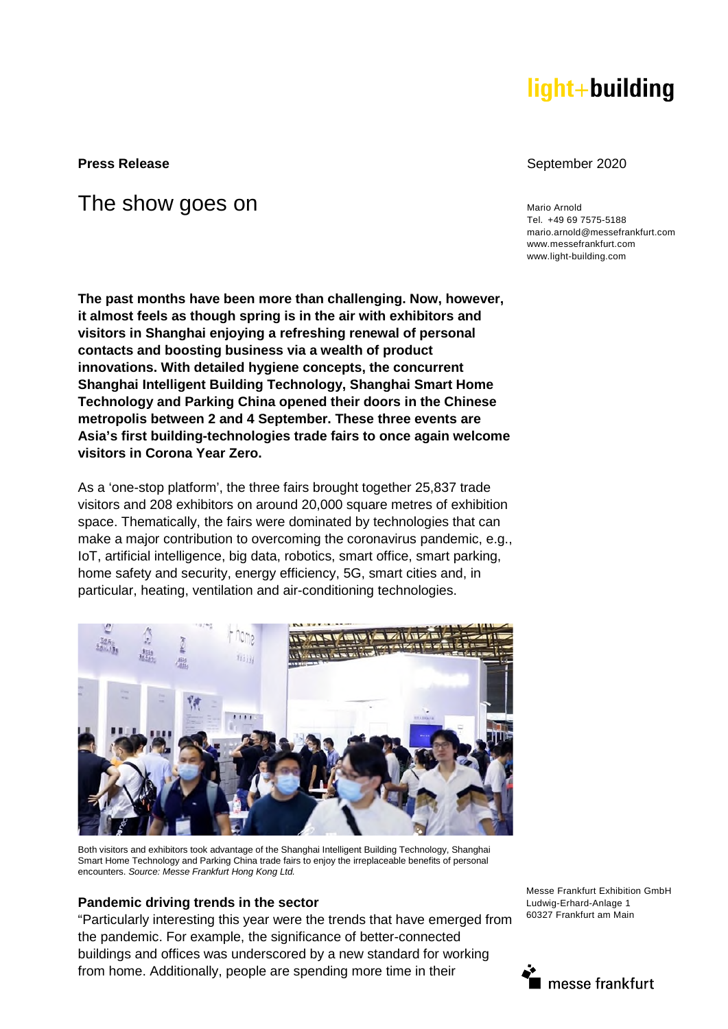# light+building

# The show goes on Mario Arnold Mario Arnold Mario Arnold Mario Arnold Mario Arnold Mario Arnold Mario Arnold Mario Arnold Mario Arnold Museum of The Second Museum of the Second Museum of the Second Museum of the Second Muse

**The past months have been more than challenging. Now, however, it almost feels as though spring is in the air with exhibitors and visitors in Shanghai enjoying a refreshing renewal of personal contacts and boosting business via a wealth of product innovations. With detailed hygiene concepts, the concurrent Shanghai Intelligent Building Technology, Shanghai Smart Home Technology and Parking China opened their doors in the Chinese metropolis between 2 and 4 September. These three events are Asia's first building-technologies trade fairs to once again welcome visitors in Corona Year Zero.** 

As a 'one-stop platform', the three fairs brought together 25,837 trade visitors and 208 exhibitors on around 20,000 square metres of exhibition space. Thematically, the fairs were dominated by technologies that can make a major contribution to overcoming the coronavirus pandemic, e.g., IoT, artificial intelligence, big data, robotics, smart office, smart parking, home safety and security, energy efficiency, 5G, smart cities and, in particular, heating, ventilation and air-conditioning technologies.



Both visitors and exhibitors took advantage of the Shanghai Intelligent Building Technology, Shanghai Smart Home Technology and Parking China trade fairs to enjoy the irreplaceable benefits of personal encounters. *Source: Messe Frankfurt Hong Kong Ltd.*

## **Pandemic driving trends in the sector**

"Particularly interesting this year were the trends that have emerged from the pandemic. For example, the significance of better-connected buildings and offices was underscored by a new standard for working from home. Additionally, people are spending more time in their

Messe Frankfurt Exhibition GmbH Ludwig-Erhard-Anlage 1 60327 Frankfurt am Main



#### **Press Release September 2020**

Tel. +49 69 7575-5188 mario.arnold@messefrankfurt.com www.messefrankfurt.com www.light-building.com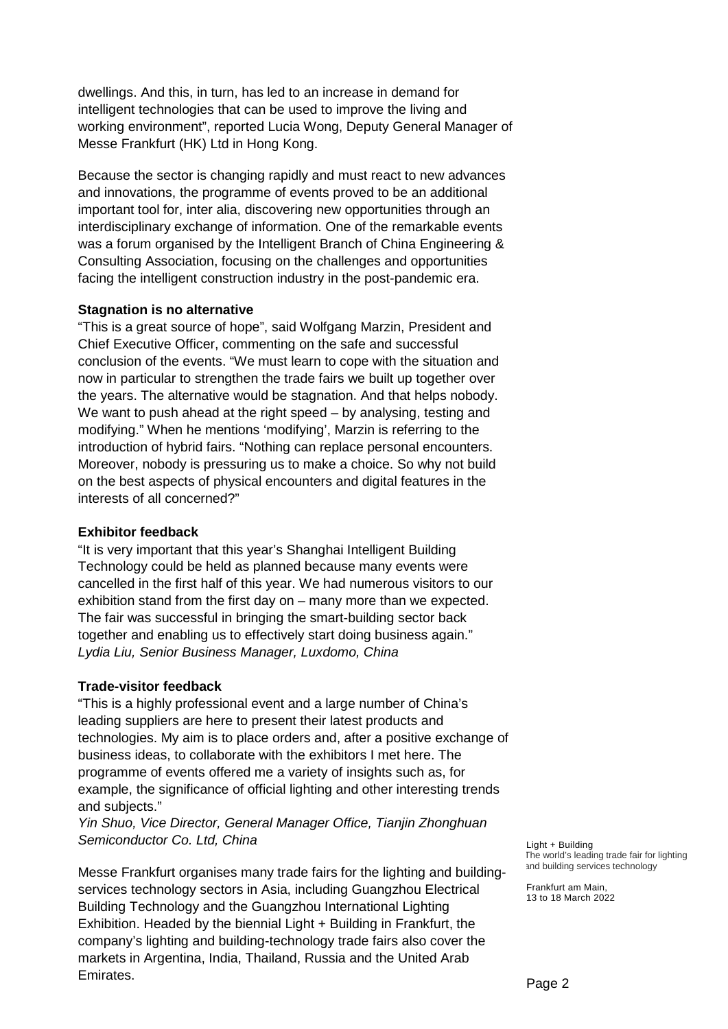dwellings. And this, in turn, has led to an increase in demand for intelligent technologies that can be used to improve the living and working environment", reported Lucia Wong, Deputy General Manager of Messe Frankfurt (HK) Ltd in Hong Kong.

Because the sector is changing rapidly and must react to new advances and innovations, the programme of events proved to be an additional important tool for, inter alia, discovering new opportunities through an interdisciplinary exchange of information. One of the remarkable events was a forum organised by the Intelligent Branch of China Engineering & Consulting Association, focusing on the challenges and opportunities facing the intelligent construction industry in the post-pandemic era.

# **Stagnation is no alternative**

"This is a great source of hope", said Wolfgang Marzin, President and Chief Executive Officer, commenting on the safe and successful conclusion of the events. "We must learn to cope with the situation and now in particular to strengthen the trade fairs we built up together over the years. The alternative would be stagnation. And that helps nobody. We want to push ahead at the right speed – by analysing, testing and modifying." When he mentions 'modifying', Marzin is referring to the introduction of hybrid fairs. "Nothing can replace personal encounters. Moreover, nobody is pressuring us to make a choice. So why not build on the best aspects of physical encounters and digital features in the interests of all concerned?"

# **Exhibitor feedback**

"It is very important that this year's Shanghai Intelligent Building Technology could be held as planned because many events were cancelled in the first half of this year. We had numerous visitors to our exhibition stand from the first day on – many more than we expected. The fair was successful in bringing the smart-building sector back together and enabling us to effectively start doing business again." *Lydia Liu, Senior Business Manager, Luxdomo, China* 

# **Trade-visitor feedback**

"This is a highly professional event and a large number of China's leading suppliers are here to present their latest products and technologies. My aim is to place orders and, after a positive exchange of business ideas, to collaborate with the exhibitors I met here. The programme of events offered me a variety of insights such as, for example, the significance of official lighting and other interesting trends and subjects."

*Yin Shuo, Vice Director, General Manager Office, Tianjin Zhonghuan Semiconductor Co. Ltd, China* 

Messe Frankfurt organises many trade fairs for the lighting and buildingservices technology sectors in Asia, including Guangzhou Electrical Building Technology and the Guangzhou International Lighting Exhibition. Headed by the biennial Light + Building in Frankfurt, the company's lighting and building-technology trade fairs also cover the markets in Argentina, India, Thailand, Russia and the United Arab Emirates.

Light + Building The world's leading trade fair for lighting and building services technology

Frankfurt am Main, 13 to 18 March 2022